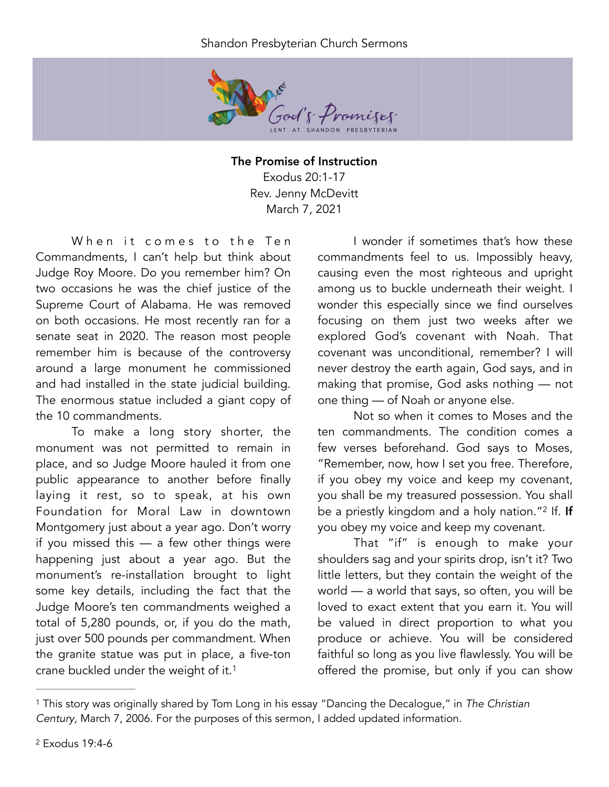## Shandon Presbyterian Church Sermons



The Promise of Instruction Exodus 20:1-17 Rev. Jenny McDevitt March 7, 2021

When it comes to the Ten Commandments, I can't help but think about Judge Roy Moore. Do you remember him? On two occasions he was the chief justice of the Supreme Court of Alabama. He was removed on both occasions. He most recently ran for a senate seat in 2020. The reason most people remember him is because of the controversy around a large monument he commissioned and had installed in the state judicial building. The enormous statue included a giant copy of the 10 commandments.

To make a long story shorter, the monument was not permitted to remain in place, and so Judge Moore hauled it from one public appearance to another before finally laying it rest, so to speak, at his own Foundation for Moral Law in downtown Montgomery just about a year ago. Don't worry if you missed this — a few other things were happening just about a year ago. But the monument's re-installation brought to light some key details, including the fact that the Judge Moore's ten commandments weighed a total of 5,280 pounds, or, if you do the math, just over 500 pounds per commandment. When the granite statue was put in place, a five-ton crane buckled under the weight of it.[1](#page-0-0)

I wonder if sometimes that's how these commandments feel to us. Impossibly heavy, causing even the most righteous and upright among us to buckle underneath their weight. I wonder this especially since we find ourselves focusing on them just two weeks after we explored God's covenant with Noah. That covenant was unconditional, remember? I will never destroy the earth again, God says, and in making that promise, God asks nothing — not one thing — of Noah or anyone else.

Not so when it comes to Moses and the ten commandments. The condition comes a few verses beforehand. God says to Moses, "Remember, now, how I set you free. Therefore, if you obey my voice and keep my covenant, you shall be my treasured possession. You shall be a priestly kingdom and a holy nation."<sup>2</sup> If. If you obey my voice and keep my covenant.

<span id="page-0-3"></span><span id="page-0-2"></span>That "if" is enough to make your shoulders sag and your spirits drop, isn't it? Two little letters, but they contain the weight of the world — a world that says, so often, you will be loved to exact extent that you earn it. You will be valued in direct proportion to what you produce or achieve. You will be considered faithful so long as you live flawlessly. You will be offered the promise, but only if you can show

<span id="page-0-1"></span><span id="page-0-0"></span>This story was originally shared by Tom Long in his essay "Dancing the Decalogue," in *The Christian* [1](#page-0-2) *Century*, March 7, 2006. For the purposes of this sermon, I added updated information.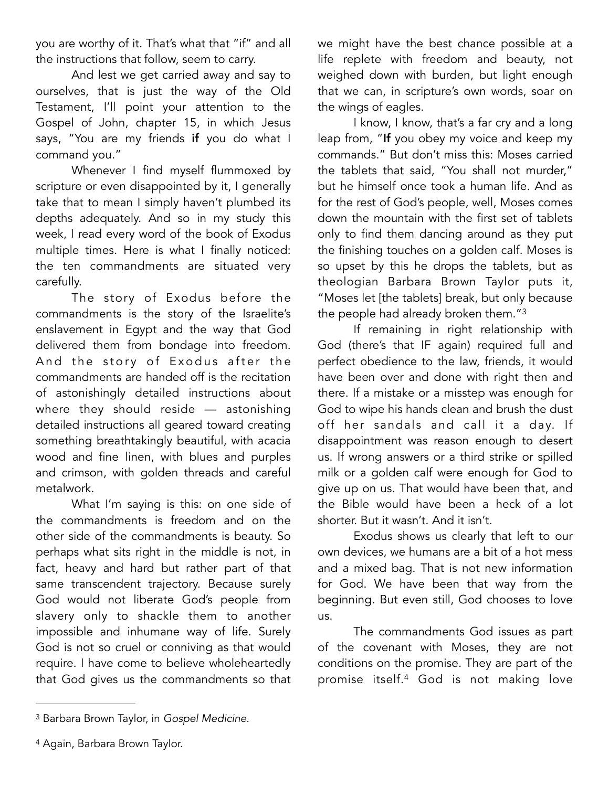you are worthy of it. That's what that "if" and all the instructions that follow, seem to carry.

And lest we get carried away and say to ourselves, that is just the way of the Old Testament, I'll point your attention to the Gospel of John, chapter 15, in which Jesus says, "You are my friends if you do what I command you."

Whenever I find myself flummoxed by scripture or even disappointed by it, I generally take that to mean I simply haven't plumbed its depths adequately. And so in my study this week, I read every word of the book of Exodus multiple times. Here is what I finally noticed: the ten commandments are situated very carefully.

The story of Exodus before the commandments is the story of the Israelite's enslavement in Egypt and the way that God delivered them from bondage into freedom. And the story of Exodus after the commandments are handed off is the recitation of astonishingly detailed instructions about where they should reside — astonishing detailed instructions all geared toward creating something breathtakingly beautiful, with acacia wood and fine linen, with blues and purples and crimson, with golden threads and careful metalwork.

What I'm saying is this: on one side of the commandments is freedom and on the other side of the commandments is beauty. So perhaps what sits right in the middle is not, in fact, heavy and hard but rather part of that same transcendent trajectory. Because surely God would not liberate God's people from slavery only to shackle them to another impossible and inhumane way of life. Surely God is not so cruel or conniving as that would require. I have come to believe wholeheartedly that God gives us the commandments so that

we might have the best chance possible at a life replete with freedom and beauty, not weighed down with burden, but light enough that we can, in scripture's own words, soar on the wings of eagles.

I know, I know, that's a far cry and a long leap from, "If you obey my voice and keep my commands." But don't miss this: Moses carried the tablets that said, "You shall not murder," but he himself once took a human life. And as for the rest of God's people, well, Moses comes down the mountain with the first set of tablets only to find them dancing around as they put the finishing touches on a golden calf. Moses is so upset by this he drops the tablets, but as theologian Barbara Brown Taylor puts it, "Moses let [the tablets] break, but only because the people had already broken them.["3](#page-1-0)

<span id="page-1-2"></span>If remaining in right relationship with God (there's that IF again) required full and perfect obedience to the law, friends, it would have been over and done with right then and there. If a mistake or a misstep was enough for God to wipe his hands clean and brush the dust off her sandals and call it a day. If disappointment was reason enough to desert us. If wrong answers or a third strike or spilled milk or a golden calf were enough for God to give up on us. That would have been that, and the Bible would have been a heck of a lot shorter. But it wasn't. And it isn't.

Exodus shows us clearly that left to our own devices, we humans are a bit of a hot mess and a mixed bag. That is not new information for God. We have been that way from the beginning. But even still, God chooses to love us.

<span id="page-1-3"></span>The commandments God issues as part of the covenant with Moses, they are not conditions on the promise. They are part of the promise itself.<sup>[4](#page-1-1)</sup> God is not making love

<span id="page-1-1"></span><sup>[4](#page-1-3)</sup> Again, Barbara Brown Taylor.

<span id="page-1-0"></span><sup>&</sup>lt;sup>[3](#page-1-2)</sup> Barbara Brown Taylor, in *Gospel Medicine*.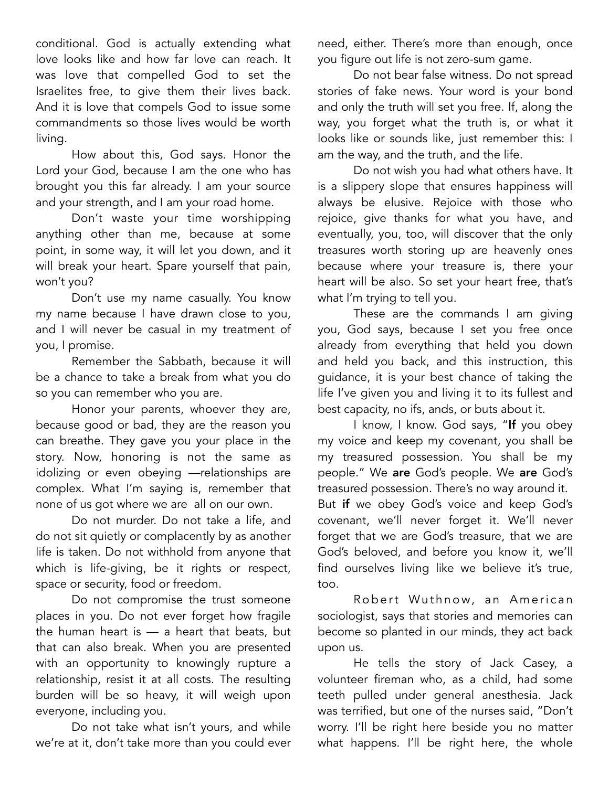conditional. God is actually extending what love looks like and how far love can reach. It was love that compelled God to set the Israelites free, to give them their lives back. And it is love that compels God to issue some commandments so those lives would be worth living.

How about this, God says. Honor the Lord your God, because I am the one who has brought you this far already. I am your source and your strength, and I am your road home.

Don't waste your time worshipping anything other than me, because at some point, in some way, it will let you down, and it will break your heart. Spare yourself that pain, won't you?

Don't use my name casually. You know my name because I have drawn close to you, and I will never be casual in my treatment of you, I promise.

Remember the Sabbath, because it will be a chance to take a break from what you do so you can remember who you are.

Honor your parents, whoever they are, because good or bad, they are the reason you can breathe. They gave you your place in the story. Now, honoring is not the same as idolizing or even obeying —relationships are complex. What I'm saying is, remember that none of us got where we are all on our own.

Do not murder. Do not take a life, and do not sit quietly or complacently by as another life is taken. Do not withhold from anyone that which is life-giving, be it rights or respect, space or security, food or freedom.

Do not compromise the trust someone places in you. Do not ever forget how fragile the human heart is — a heart that beats, but that can also break. When you are presented with an opportunity to knowingly rupture a relationship, resist it at all costs. The resulting burden will be so heavy, it will weigh upon everyone, including you.

Do not take what isn't yours, and while we're at it, don't take more than you could ever need, either. There's more than enough, once you figure out life is not zero-sum game.

Do not bear false witness. Do not spread stories of fake news. Your word is your bond and only the truth will set you free. If, along the way, you forget what the truth is, or what it looks like or sounds like, just remember this: I am the way, and the truth, and the life.

Do not wish you had what others have. It is a slippery slope that ensures happiness will always be elusive. Rejoice with those who rejoice, give thanks for what you have, and eventually, you, too, will discover that the only treasures worth storing up are heavenly ones because where your treasure is, there your heart will be also. So set your heart free, that's what I'm trying to tell you.

These are the commands I am giving you, God says, because I set you free once already from everything that held you down and held you back, and this instruction, this guidance, it is your best chance of taking the life I've given you and living it to its fullest and best capacity, no ifs, ands, or buts about it.

I know, I know. God says, "If you obey my voice and keep my covenant, you shall be my treasured possession. You shall be my people." We are God's people. We are God's treasured possession. There's no way around it. But if we obey God's voice and keep God's covenant, we'll never forget it. We'll never forget that we are God's treasure, that we are God's beloved, and before you know it, we'll find ourselves living like we believe it's true, too.

Robert Wuthnow, an American sociologist, says that stories and memories can become so planted in our minds, they act back upon us.

He tells the story of Jack Casey, a volunteer fireman who, as a child, had some teeth pulled under general anesthesia. Jack was terrified, but one of the nurses said, "Don't worry. I'll be right here beside you no matter what happens. I'll be right here, the whole